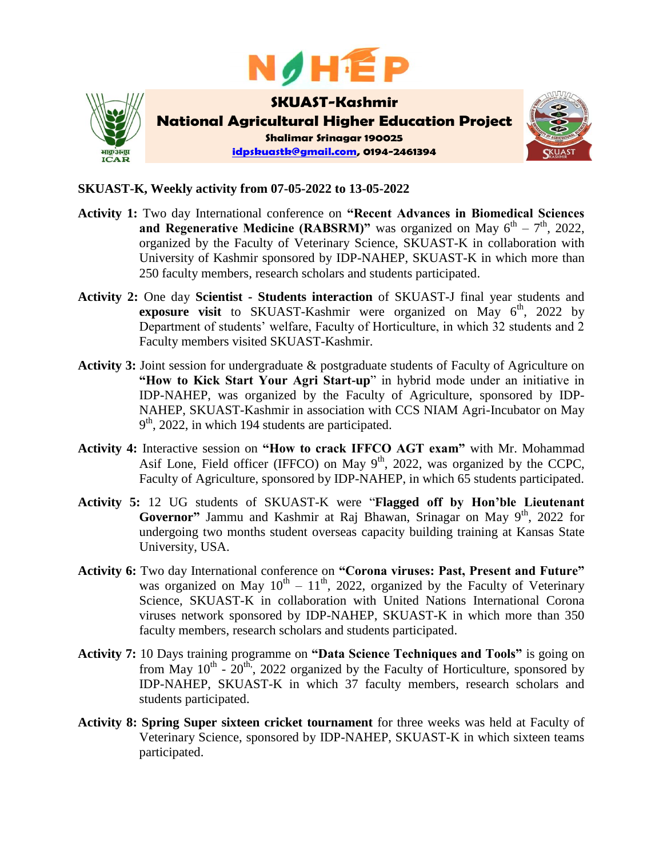



## **SKUAST-K, Weekly activity from 07-05-2022 to 13-05-2022**

- **Activity 1:** Two day International conference on **"Recent Advances in Biomedical Sciences and Regenerative Medicine (RABSRM)"** was organized on May  $6^{th} - 7^{th}$ , 2022, organized by the Faculty of Veterinary Science, SKUAST-K in collaboration with University of Kashmir sponsored by IDP-NAHEP, SKUAST-K in which more than 250 faculty members, research scholars and students participated.
- **Activity 2:** One day **Scientist - Students interaction** of SKUAST-J final year students and **exposure visit** to SKUAST-Kashmir were organized on May  $6^{th}$ , 2022 by Department of students' welfare, Faculty of Horticulture, in which 32 students and 2 Faculty members visited SKUAST-Kashmir.
- **Activity 3:** Joint session for undergraduate & postgraduate students of Faculty of Agriculture on **"How to Kick Start Your Agri Start-up**" in hybrid mode under an initiative in IDP-NAHEP, was organized by the Faculty of Agriculture, sponsored by IDP-NAHEP, SKUAST-Kashmir in association with CCS NIAM Agri-Incubator on May  $9<sup>th</sup>$ , 2022, in which 194 students are participated.
- **Activity 4:** Interactive session on **"How to crack IFFCO AGT exam"** with Mr. Mohammad Asif Lone, Field officer (IFFCO) on May  $9<sup>th</sup>$ , 2022, was organized by the CCPC, Faculty of Agriculture, sponsored by IDP-NAHEP, in which 65 students participated.
- **Activity 5:** 12 UG students of SKUAST-K were "**Flagged off by Hon'ble Lieutenant**  Governor" Jammu and Kashmir at Raj Bhawan, Srinagar on May 9<sup>th</sup>, 2022 for undergoing two months student overseas capacity building training at Kansas State University, USA.
- **Activity 6:** Two day International conference on **"Corona viruses: Past, Present and Future"** was organized on May  $10^{th} - 11^{th}$ , 2022, organized by the Faculty of Veterinary Science, SKUAST-K in collaboration with United Nations International Corona viruses network sponsored by IDP-NAHEP, SKUAST-K in which more than 350 faculty members, research scholars and students participated.
- **Activity 7:** 10 Days training programme on **"Data Science Techniques and Tools"** is going on from May  $10^{th}$  -  $20^{th}$ , 2022 organized by the Faculty of Horticulture, sponsored by IDP-NAHEP, SKUAST-K in which 37 faculty members, research scholars and students participated.
- **Activity 8: Spring Super sixteen cricket tournament** for three weeks was held at Faculty of Veterinary Science, sponsored by IDP-NAHEP, SKUAST-K in which sixteen teams participated.